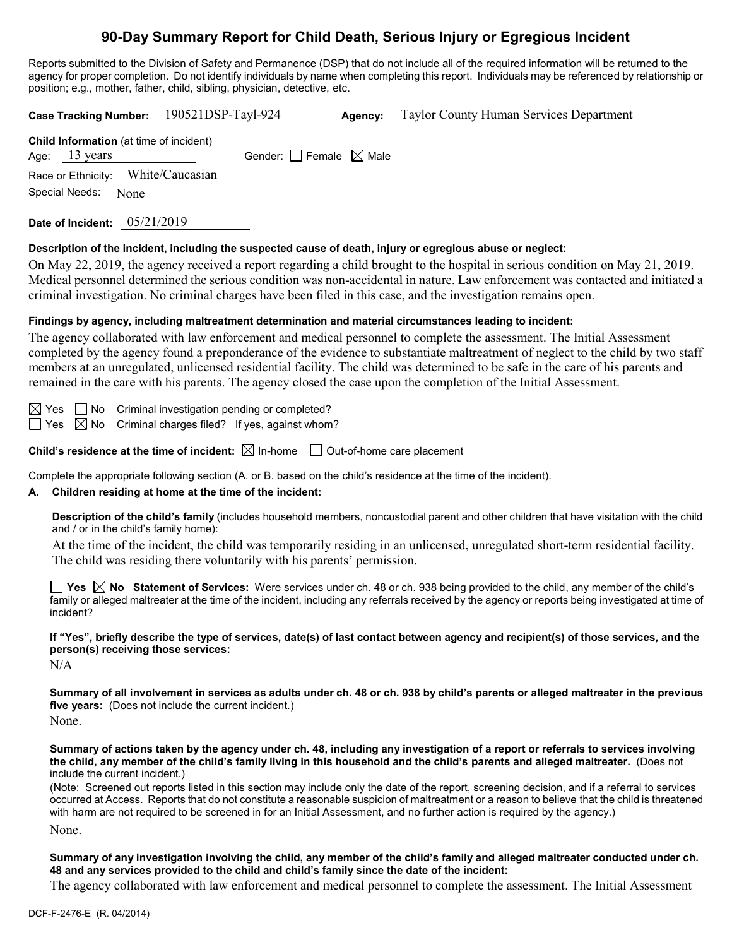# **90-Day Summary Report for Child Death, Serious Injury or Egregious Incident**

Reports submitted to the Division of Safety and Permanence (DSP) that do not include all of the required information will be returned to the agency for proper completion. Do not identify individuals by name when completing this report. Individuals may be referenced by relationship or position; e.g., mother, father, child, sibling, physician, detective, etc.

| Taylor County Human Services Department<br>Case Tracking Number: 190521DSP-Tayl-924<br>Agency:                                                                                                                                                                                                                                                                                                                                                                                                                                                                                                                             |  |  |  |  |  |
|----------------------------------------------------------------------------------------------------------------------------------------------------------------------------------------------------------------------------------------------------------------------------------------------------------------------------------------------------------------------------------------------------------------------------------------------------------------------------------------------------------------------------------------------------------------------------------------------------------------------------|--|--|--|--|--|
| Child Information (at time of incident)<br>Gender: $\Box$ Female $\boxtimes$ Male<br>13 years<br>Age:<br>White/Caucasian<br>Race or Ethnicity:<br>Special Needs:<br>None                                                                                                                                                                                                                                                                                                                                                                                                                                                   |  |  |  |  |  |
| Date of Incident: 05/21/2019                                                                                                                                                                                                                                                                                                                                                                                                                                                                                                                                                                                               |  |  |  |  |  |
| Description of the incident, including the suspected cause of death, injury or egregious abuse or neglect:<br>On May 22, 2019, the agency received a report regarding a child brought to the hospital in serious condition on May 21, 2019.<br>Medical personnel determined the serious condition was non-accidental in nature. Law enforcement was contacted and initiated a<br>criminal investigation. No criminal charges have been filed in this case, and the investigation remains open.                                                                                                                             |  |  |  |  |  |
| Findings by agency, including maltreatment determination and material circumstances leading to incident:<br>The agency collaborated with law enforcement and medical personnel to complete the assessment. The Initial Assessment<br>completed by the agency found a preponderance of the evidence to substantiate maltreatment of neglect to the child by two staff<br>members at an unregulated, unlicensed residential facility. The child was determined to be safe in the care of his parents and<br>remained in the care with his parents. The agency closed the case upon the completion of the Initial Assessment. |  |  |  |  |  |
| $\Box$ No<br>Criminal investigation pending or completed?<br>⊠ Yes<br>Criminal charges filed? If yes, against whom?<br>$\boxtimes$ No<br>∣ I Yes                                                                                                                                                                                                                                                                                                                                                                                                                                                                           |  |  |  |  |  |
| <b>Child's residence at the time of incident:</b> $\boxtimes$ In-home $\Box$ Out-of-home care placement                                                                                                                                                                                                                                                                                                                                                                                                                                                                                                                    |  |  |  |  |  |
| Complete the appropriate following section (A. or B. based on the child's residence at the time of the incident).<br>Children residing at home at the time of the incident:<br>А.                                                                                                                                                                                                                                                                                                                                                                                                                                          |  |  |  |  |  |
| Description of the child's family (includes household members, noncustodial parent and other children that have visitation with the child<br>and / or in the child's family home):                                                                                                                                                                                                                                                                                                                                                                                                                                         |  |  |  |  |  |
| At the time of the incident, the child was temporarily residing in an unlicensed, unregulated short-term residential facility.<br>The child was residing there voluntarily with his parents' permission.                                                                                                                                                                                                                                                                                                                                                                                                                   |  |  |  |  |  |
| <b>T</b> Yes $\boxtimes$ No Statement of Services: Were services under ch. 48 or ch. 938 being provided to the child, any member of the child's<br>family or alleged maltreater at the time of the incident, including any referrals received by the agency or reports being investigated at time of<br>incident?                                                                                                                                                                                                                                                                                                          |  |  |  |  |  |

**If "Yes", briefly describe the type of services, date(s) of last contact between agency and recipient(s) of those services, and the person(s) receiving those services:** N/A

**Summary of all involvement in services as adults under ch. 48 or ch. 938 by child's parents or alleged maltreater in the previous five years:** (Does not include the current incident.)

None.

**Summary of actions taken by the agency under ch. 48, including any investigation of a report or referrals to services involving the child, any member of the child's family living in this household and the child's parents and alleged maltreater.** (Does not include the current incident.)

(Note: Screened out reports listed in this section may include only the date of the report, screening decision, and if a referral to services occurred at Access. Reports that do not constitute a reasonable suspicion of maltreatment or a reason to believe that the child is threatened with harm are not required to be screened in for an Initial Assessment, and no further action is required by the agency.) None.

**Summary of any investigation involving the child, any member of the child's family and alleged maltreater conducted under ch. 48 and any services provided to the child and child's family since the date of the incident:**

The agency collaborated with law enforcement and medical personnel to complete the assessment. The Initial Assessment